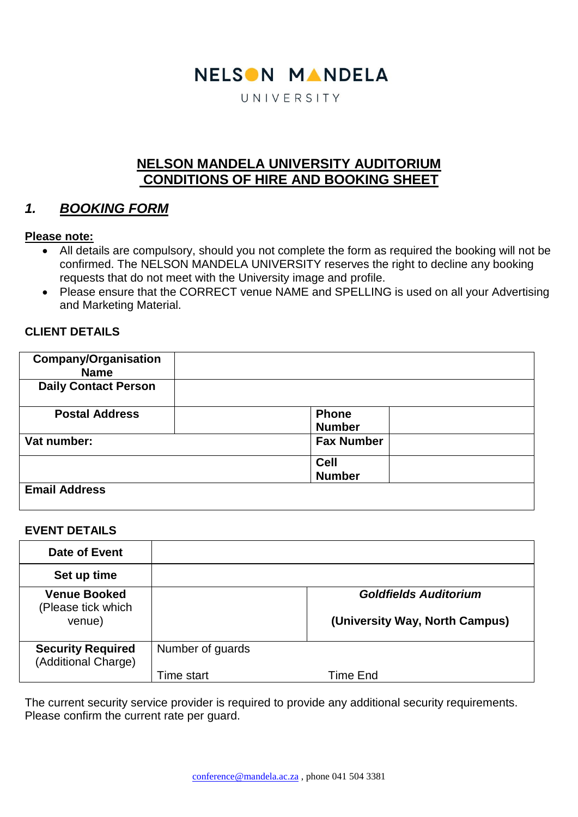# NELSON MANDELA

UNIVERSITY

# **NELSON MANDELA UNIVERSITY AUDITORIUM CONDITIONS OF HIRE AND BOOKING SHEET**

# *1. BOOKING FORM*

#### **Please note:**

- All details are compulsory, should you not complete the form as required the booking will not be confirmed. The NELSON MANDELA UNIVERSITY reserves the right to decline any booking requests that do not meet with the University image and profile.
- Please ensure that the CORRECT venue NAME and SPELLING is used on all your Advertising and Marketing Material.

#### **CLIENT DETAILS**

| <b>Company/Organisation</b><br><b>Name</b> |                               |  |
|--------------------------------------------|-------------------------------|--|
| <b>Daily Contact Person</b>                |                               |  |
| <b>Postal Address</b>                      | <b>Phone</b><br><b>Number</b> |  |
| Vat number:                                | <b>Fax Number</b>             |  |
|                                            | <b>Cell</b>                   |  |
|                                            | <b>Number</b>                 |  |
| <b>Email Address</b>                       |                               |  |

#### **EVENT DETAILS**

| Date of Event                                       |                  |                                                                |
|-----------------------------------------------------|------------------|----------------------------------------------------------------|
| Set up time                                         |                  |                                                                |
| <b>Venue Booked</b><br>(Please tick which<br>venue) |                  | <b>Goldfields Auditorium</b><br>(University Way, North Campus) |
| <b>Security Required</b><br>(Additional Charge)     | Number of guards |                                                                |
|                                                     | Time start       | Time End                                                       |

The current security service provider is required to provide any additional security requirements. Please confirm the current rate per guard.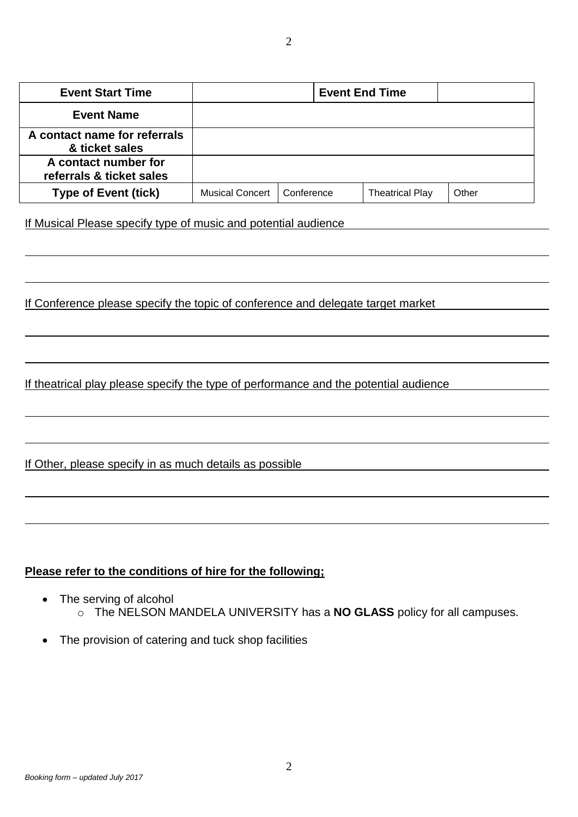| <b>Event Start Time</b>                          | <b>Event End Time</b>  |            |                        |       |
|--------------------------------------------------|------------------------|------------|------------------------|-------|
| <b>Event Name</b>                                |                        |            |                        |       |
| A contact name for referrals<br>& ticket sales   |                        |            |                        |       |
| A contact number for<br>referrals & ticket sales |                        |            |                        |       |
| <b>Type of Event (tick)</b>                      | <b>Musical Concert</b> | Conference | <b>Theatrical Play</b> | Other |

If Musical Please specify type of music and potential audience

If Conference please specify the topic of conference and delegate target market

If theatrical play please specify the type of performance and the potential audience

If Other, please specify in as much details as possible

#### **Please refer to the conditions of hire for the following;**

- The serving of alcohol o The NELSON MANDELA UNIVERSITY has a **NO GLASS** policy for all campuses.
- The provision of catering and tuck shop facilities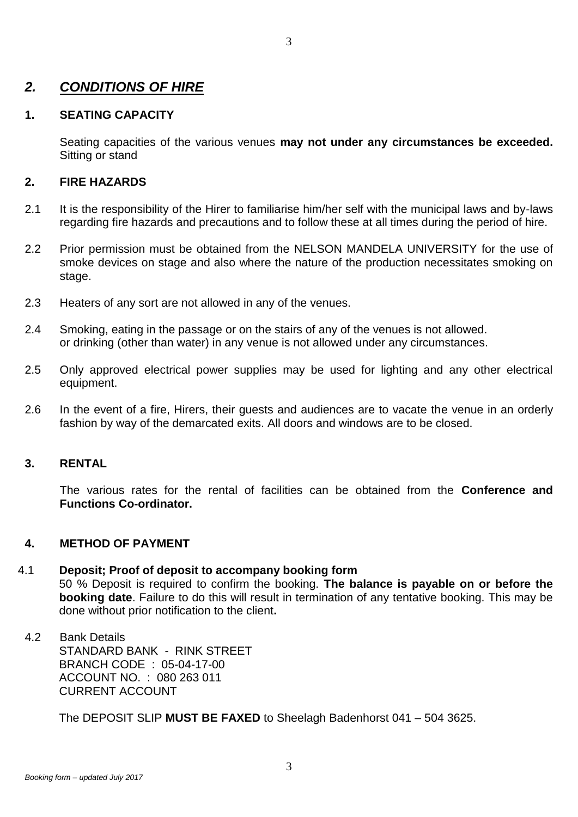## *2. CONDITIONS OF HIRE*

#### **1. SEATING CAPACITY**

Seating capacities of the various venues **may not under any circumstances be exceeded.** Sitting or stand

#### **2. FIRE HAZARDS**

- 2.1 It is the responsibility of the Hirer to familiarise him/her self with the municipal laws and by-laws regarding fire hazards and precautions and to follow these at all times during the period of hire.
- 2.2 Prior permission must be obtained from the NELSON MANDELA UNIVERSITY for the use of smoke devices on stage and also where the nature of the production necessitates smoking on stage.
- 2.3 Heaters of any sort are not allowed in any of the venues.
- 2.4 Smoking, eating in the passage or on the stairs of any of the venues is not allowed. or drinking (other than water) in any venue is not allowed under any circumstances.
- 2.5 Only approved electrical power supplies may be used for lighting and any other electrical equipment.
- 2.6 In the event of a fire, Hirers, their guests and audiences are to vacate the venue in an orderly fashion by way of the demarcated exits. All doors and windows are to be closed.

## **3. RENTAL**

The various rates for the rental of facilities can be obtained from the **Conference and Functions Co-ordinator.**

#### **4. METHOD OF PAYMENT**

#### 4.1 **Deposit; Proof of deposit to accompany booking form**

50 % Deposit is required to confirm the booking. **The balance is payable on or before the booking date**. Failure to do this will result in termination of any tentative booking. This may be done without prior notification to the client**.**

4.2 Bank Details STANDARD BANK - RINK STREET BRANCH CODE : 05-04-17-00 ACCOUNT NO. : 080 263 011 CURRENT ACCOUNT

The DEPOSIT SLIP **MUST BE FAXED** to Sheelagh Badenhorst 041 – 504 3625.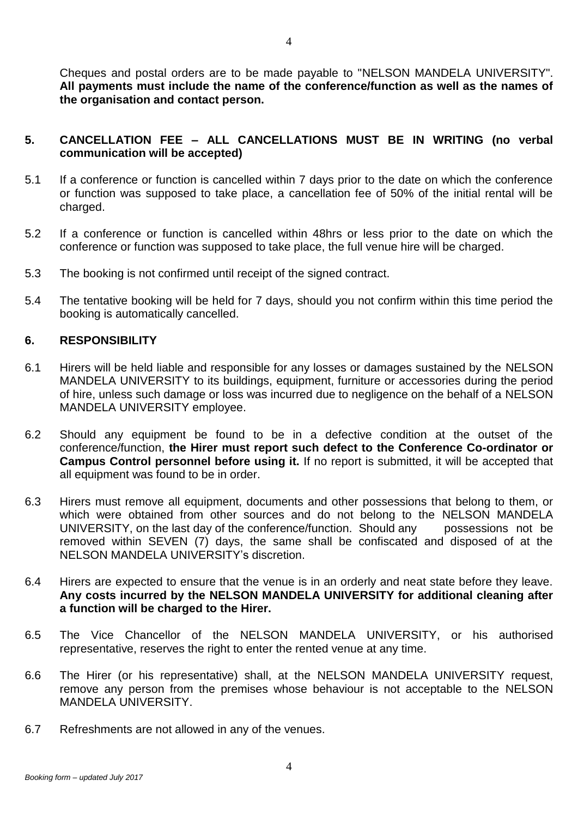Cheques and postal orders are to be made payable to "NELSON MANDELA UNIVERSITY". **All payments must include the name of the conference/function as well as the names of the organisation and contact person.** 

#### **5. CANCELLATION FEE – ALL CANCELLATIONS MUST BE IN WRITING (no verbal communication will be accepted)**

- 5.1 If a conference or function is cancelled within 7 days prior to the date on which the conference or function was supposed to take place, a cancellation fee of 50% of the initial rental will be charged.
- 5.2 If a conference or function is cancelled within 48hrs or less prior to the date on which the conference or function was supposed to take place, the full venue hire will be charged.
- 5.3 The booking is not confirmed until receipt of the signed contract.
- 5.4 The tentative booking will be held for 7 days, should you not confirm within this time period the booking is automatically cancelled.

#### **6. RESPONSIBILITY**

- 6.1 Hirers will be held liable and responsible for any losses or damages sustained by the NELSON MANDELA UNIVERSITY to its buildings, equipment, furniture or accessories during the period of hire, unless such damage or loss was incurred due to negligence on the behalf of a NELSON MANDELA UNIVERSITY employee.
- 6.2 Should any equipment be found to be in a defective condition at the outset of the conference/function, **the Hirer must report such defect to the Conference Co-ordinator or Campus Control personnel before using it.** If no report is submitted, it will be accepted that all equipment was found to be in order.
- 6.3 Hirers must remove all equipment, documents and other possessions that belong to them, or which were obtained from other sources and do not belong to the NELSON MANDELA UNIVERSITY, on the last day of the conference/function. Should any possessions not be removed within SEVEN (7) days, the same shall be confiscated and disposed of at the NELSON MANDELA UNIVERSITY's discretion.
- 6.4 Hirers are expected to ensure that the venue is in an orderly and neat state before they leave. **Any costs incurred by the NELSON MANDELA UNIVERSITY for additional cleaning after a function will be charged to the Hirer.**
- 6.5 The Vice Chancellor of the NELSON MANDELA UNIVERSITY, or his authorised representative, reserves the right to enter the rented venue at any time.
- 6.6 The Hirer (or his representative) shall, at the NELSON MANDELA UNIVERSITY request, remove any person from the premises whose behaviour is not acceptable to the NELSON MANDELA UNIVERSITY.
- 6.7 Refreshments are not allowed in any of the venues.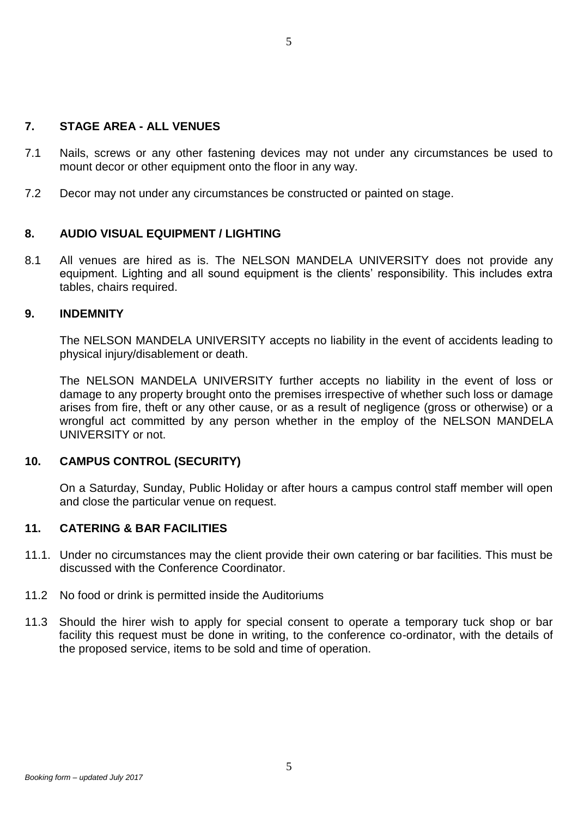#### **7. STAGE AREA - ALL VENUES**

- 7.1 Nails, screws or any other fastening devices may not under any circumstances be used to mount decor or other equipment onto the floor in any way.
- 7.2 Decor may not under any circumstances be constructed or painted on stage.

#### **8. AUDIO VISUAL EQUIPMENT / LIGHTING**

8.1 All venues are hired as is. The NELSON MANDELA UNIVERSITY does not provide any equipment. Lighting and all sound equipment is the clients' responsibility. This includes extra tables, chairs required.

#### **9. INDEMNITY**

The NELSON MANDELA UNIVERSITY accepts no liability in the event of accidents leading to physical injury/disablement or death.

The NELSON MANDELA UNIVERSITY further accepts no liability in the event of loss or damage to any property brought onto the premises irrespective of whether such loss or damage arises from fire, theft or any other cause, or as a result of negligence (gross or otherwise) or a wrongful act committed by any person whether in the employ of the NELSON MANDELA UNIVERSITY or not.

#### **10. CAMPUS CONTROL (SECURITY)**

On a Saturday, Sunday, Public Holiday or after hours a campus control staff member will open and close the particular venue on request.

#### **11. CATERING & BAR FACILITIES**

- 11.1. Under no circumstances may the client provide their own catering or bar facilities. This must be discussed with the Conference Coordinator.
- 11.2 No food or drink is permitted inside the Auditoriums
- 11.3 Should the hirer wish to apply for special consent to operate a temporary tuck shop or bar facility this request must be done in writing, to the conference co-ordinator, with the details of the proposed service, items to be sold and time of operation.